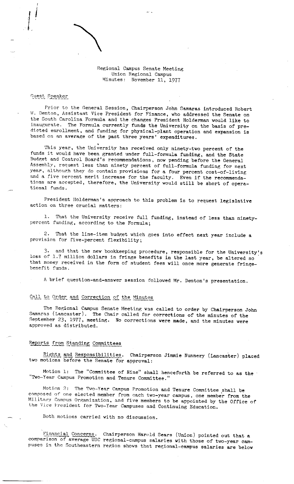Regional Campus Senate Meeting Union Regional Campus Minutes: November 11, 1977

## **Guest r~eaker**

 $\sum_{i=1}^n$ 

 $\frac{1}{2}$ 

Prior to the General Session, Chairperson John Gamaras introduced Robert W. Denton, Assistant Vice President for Finance, who addressed the Senate on the South Carolina Formula and the changes President Holderman would like to inaugurate. The Formula currently funds the University on the basis of predicted enrollment, and funding for physical-plant operation and expansion is based on an average of the past three years' expenditures .

This year, the University has received only ninety-two percent of the funds it would have been granted under full-formula funding, and the State Budget and Control Board's recommendations, now pending before the General Assembly, request less than ninety percent of full-formula funding for next year, although they do contain provisions for a four percent cost-of-living and a five percent merit increase for the faculty. Even if the recommendations are accepted, therefore, the University would still be short of operational funds ,

President llolderman's approach to this problem is to request legislative action on three crucial matters:

1. That the University receive full funding, instead of less than ninetypercent funding, according to the Formula;

2. That the line-item budget which goes into effect next year include a provision for five-percent flexibility;

3. and that the new bookkeeping procedure, responsible for the University's loss of 1,7 million dollars in fringe benefits in the last year, be altered so that money received in the form of student fees will once more generate fringebenefit funds.

<sup>A</sup>brief question-and-answer session followed Mr. Denton's presentation.

## Call to Order and Correction of the Minutes

The Regional Campus Senate Meeting was called to order by Chairperson John Samaras (Lancaster). The Chair called for corrections of the minutes of the September 23, 1977, meeting. No corrections were made, and the minutes were approved as distributed.

# Reports from Standing Committees

Rights and Responsibilities. Chairperson Jimmie Nunnery (Lancaster) placed two motions before the Senate for approval:

Motion 1: The "Committee of Nine" shall henceforth be referred to as the "Two-Year Campus Promotion and Tenure Committee."

Motion 2: The Two-Year Campus Promotion and Tenure Committee shall be composed of one elected member from each two-year campus, one member from the Military Campus Organization, and five members to be appointed by the Office of the Vice President for Two-Year Campuses and Continuing Education.

Both motions carried with no discussion.

Financial Concerns. Chairperson Harold Sears (Union) pointed out that a comparison of average USC regional-campus salaries with those of two-year campuses in the Southeastern region shows that regional-campus salaries are below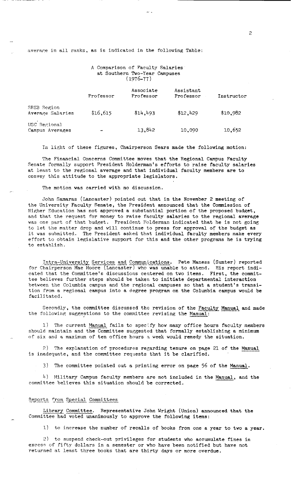average in all ranks, as is indicated in the following Table:

## A Comparison of Faculty Salaries at Southern Two-Year Campuses ( 1976-77)

|                                 | Professor | Associate<br>Professor | Assistant<br>Professor | Instructor |
|---------------------------------|-----------|------------------------|------------------------|------------|
| SREB Region<br>Average Salaries | \$16,615  | \$14.493               | \$12,429               | \$10,982   |
| USC Regional<br>Campus Averages |           | 13,842                 | 10,090                 | 10,652     |

In light of these figures, Chairperson Sears made the following motion:

The Financial Concerns Committee moves that the Regional Campus Faculty Senate formally support President Holderman's efforts to raise faculty salaries at least to the regional average and that individual faculty members are to convey this attitude to the appropriate legislators.

The motion was carried with no discussion.

John Samaras (Lancaster) pointed out that in the November 2 meeting of the University Faculty Senate, the President announced that the Connnission of Higher Education has not approved a substantial portion of the proposed budget, and that the request for money to raise faculty salaries to the regional average was one part of that budget. President Holderman indicated that he is not going to let the matter drop and will continue to press for approval of the budget as it was submitted. The President asked that individual faculty members make every effort to obtain legislative support for this and the other programs he is trying to establish .

Intra-University Services and Communications. Pete Maness (Sumter) reported for Chairperson Mae Moore (Lancaster) who was unable to attend. His report indicated that the Committee's discussions centered on two items. First, the committee believes further steps should be taken to initiate departmental interaction between the Columbia campus and the regional campuses so that a student's transition from a regional campus into a degree program on the Columbia campus would be facilitated.

Secondly, the committee discussed the revision of the Faculty Manual and made the following suggestions to the committee revising the Manual:

1) The current Manual fails to specify how many office hours faculty members should maintain and the Committee suggested that formally establishing a minimum of six and a maximum of ten office hours a week would remedy the situation.

2) The explanation of procedures regarding tenure on page 21 of the Manual is inadequate, and the committee requests that it be clarified.

3) The committee pointed out a printing error on page 56 of the Manual.

1,) Military Campus faculty members are not included in the Manual, and the committee believes this situation should be corrected.

#### Reports from Special Committees

Library Committee. Representative John Wright (Union) announced that the Committee had voted unanimously to approve the following items:

1) to increase the number of recalls of books from one a year to two a year.

2) to suspend check-out privileges for students who accumulate fines in excess of fifty dollars in a semester or who have been notified but have not returned at least three books that are thirty days or more overdue.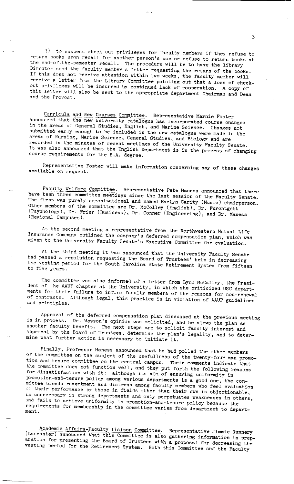3) to suspend check-out privileges for faculty members if they refuse to **return hooks upon reca.11 for another person's use or refuse to return books a.t**  the end-of-the-semester recall. The procedure will be to have the library Director send the faculty member a letter requesting the return of the books. If this does not receive attention within two weeks, the faculty member will receive a letter from the Library Committee pointing out that a loss of checkout privileges will be incurred by continued lack of cooperation. A copy of this letter will also be sent to the appropriate department Chairman and Dean **and the Provost.** 

Curricula and New Courses Committee. Representative Marnie Foster announced that the new University catalogue has incorporated course changes in the areas of General Studies, English, and Marine Science. Changes not submitted early enough to be included in the new catalogue were made in the areas of Nursing, Marine Science, General Studies, and Biology and are recorded in the minutes of recent meetings of the University Faculty Senate. It was also announced that the English Department is in the process of changing course requirements for the B.A. degree.

Representative Foster will make information concerning any of these changes available on request.

Faculty Welfare Committee. Representative Pete Maness announced that there have been three committee meetings since the last session of the Faculty Senate. The first was purely organizational and named Evelyn Garity (Music) chairperson. Other members of the committee are Dr. McColley (English), Dr. Furchtgott (Psychology), Dr. Frier (Business), Dr. Conner (Engineering), and Dr. Maness (Regional Campuses).

At the second meeting a representative from the Northwestern Mutual Life Insurance Company outlined the company's deferred compensation plan, which **was**  given to the University Faculty Senate's Executive Committee for evaluation.

At the third meeting it was announced that the University Faculty Senate had passed a resolution requesting the Board of Trustees' help in decreasing the vesting period for the South Carolina State Retirement System from fifteen to five years.

The committee was also informed of a letter from Lynn McCalley, the President of the AAUP chapter at the University, in which she criticized USC departments for their failure to inform faculty members of the reasons for non-renewal of contracts. Although legal, this practice is in violation of AAUP guidelines and principles.

Approval of the deferred compensation plan discussed at the previous meeting is in process. Dr. Wesson's opinion was solicited, and he views the plan as another faculty benefit. The next steps are to solicit faculty interest and approval by the Board of Trustees, determine the plan's legality, and to determine what further action is necessary to initiate it.

Finally, Professor Maness announced that he had polled the other members of the committee on the subject of the usefullness of the twenty-four man promotion and tenure committee on the central campus. Their comments indicate that the committee does not function well, and they put forth the following reasons for dissatisfaction with it: although its aim of ensuring uniformity in promotion-and-tenure policy among various departments is a good one, the committee breeds resentment and distress among faculty members who feel evaluation of their performance by those in fields other than their own is objectionable, is unnecessary in strong departments and only perpetuates weaknesses in others, and fails to achieve uniformity in promotion-and-tenure policy because the requirements for membership in the committee varies from department to depart-

Academic Affairs-Faculty Liaison Committee. Representative Jimmie Nunnery (Lancaster) announced that this Committee is also gathering information in preparation for presenting the Board of Trustees with a proposal for decreasing the vesting period for the Retirement System. Both this Committee and the Faculty

3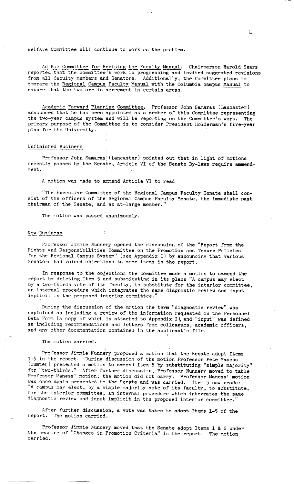Welfare Committee will continue to work on the problem.

Ad Hoc Committee for Revising the Faculty Manual. Chairperson Harold Sears reported that the committee's work is progressing and invited suggested revisions from all faculty members and Senators. Additionally, the Committee plans to compare the Regional Campus Faculty Manual with the Columbia campus Manual to ensure that the two are in agreement in certain areas.

Academic Forward Planning Committee. Professor John Samaras (Lancaster) announced that he has been appointed as a member of this Committee representing the two-year campus system and will be reporting on the Committee's work. The primary purpose of the Committee is to consider President Holderman's five-year plan for the University.

## Unfinished Business

Professor John Samaras' (Lancaster) pointed out that in light of motions recently passed by the Senate, Article VI of the Senate By-laws require **ammend**ment.

A motion was made to ammend Article VI to read

"The Executive Committee of the Regional Campus Faculty Senate shall consist of the officers of the Regional Campus Faculty Senate, the immediate past chairman of the Senate, and an at-large member."

The motion was passed unanimously.

## **New Business**

Professor Jimmie Nunnery opened the discussion of the "Report from the Rights and Responsibilities Committee on the Promotion and Tenure Policies for the Regional Campus System" (see Appendix I) by announcing that various Senators had voiced objections to some items in the report.

In response to the objections the Committee made a motion to ammend the report by deleting Item 5 and substituting in its place "A campus may elect by a two-thirds vote of its faculty, to substitute for the interior committee, an internal procedure which integrates the same diagnostic review and input implicit in the proposed interior committee."

During the discussion of the motion the term "diagnostic review" was explained as including a review of the information requested on the Personnel Data Form (a copy of which is attached to Appendix I), and "input" was defined as including recommendations and letters from colleagues, academic officers, and any other documentation contained in the applicant's file.

#### The motion carried.

Professor Jimmie Nunnery proposed a motion that the Senate adopt Items l.-5 in the report. During discussion of the motion Professor Pete Maness (Sumter) presented a motion to ammend Item 5 by substituting "simple majority" for "two-thirds.'' After further discussion, Professor Nunnery moved to table Professor Maness' motion; the motion did not carry. Professor Maness' motion was once again presented to the Senate and was carried. Item 5 now reads: "A campus may elect, by a simple majority vote of its faculty, to substitute, for the interior committee, an internal procedure which integrates the same diagnostic review and input implicit in the proposed interior committee.'

After further discussion, a vote was taken to adopt Items 1-5 of the report. The motion carried.

Professor Jimmie Nunnery moved that the Senate adopt Items 1 & 2 under the heading of "Changes in Promotion Criteria" in the report. The motion **carried.**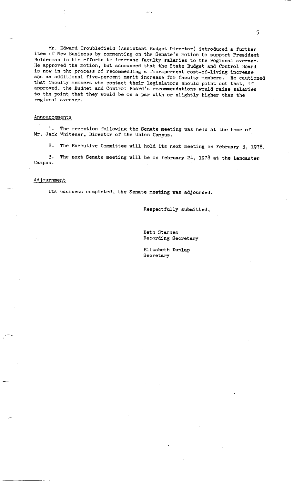Mr. Edward Troublefield (Assistant Budget Director) introduced a further item of New Business by commenting on the Senate's motion to support President Holderman in his efforts to increase faculty salaries to the regional **average.**  He approved the motion, but announced that the State Budget and Control Board is now in the process of recommending a four-percent cost-of-living increase and an additional five-percent merit increase for faculty members. He cautioned that faculty members who contact their legislators should point out that, if approved, the Budget and Control Board's recommendations would **raise** salaries to the point that they would be on a par with or slightly higher than the **regional average.** 

### Announcements

1. The reception following the Senate meeting was held at the home of Mr. Jack Whitener, Director of the Union Campus.

2. The Executive Committee will hold its next meeting on February 3, 1978,

3. The next Senate meeting will be on February 24, 1978 at the Lancaster Campus.

## Adjournment

Its business completed, the Senate meeting was adjourned.

Respectfully submitted,

Beth Starnes Recording Secretary

Elizabeth Dunlap Secretary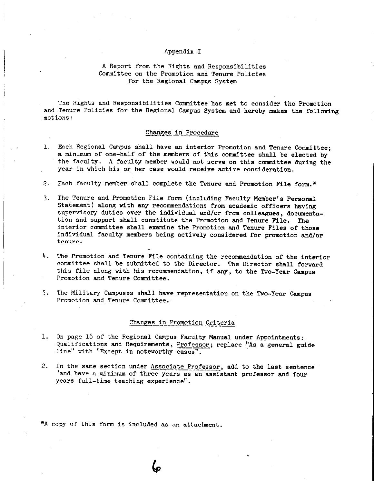#### Appendix I

## A Report from the Rights and Responsibilities Committee on the Promotion and Tenure Policies for the Regional Campus System

The Rights and Responsibilities Committee has met to consider the Promotion and Tenure Policies for the Regional Campus System and hereby makes the following **motions:** 

#### Changes in Procedure

- 1. Each Regional Campus shall have an interior Promotion and Tenure Committee; a minimum of one-half of the members of this committee shall be elected by the faculty. A faculty member would not serve on this committee during the year in which his or her case would receive active consideration.
- 2. Each faculty member shall complete the Tenure and Promotion File form.\*
- 3. The Tenure and Promotion File form (including Faculty Member's Personal Statement) along with any recommendations from academic officers having supervisory duties over the individual and/or from colleagues, documentation and support shall constitute the Promotion and Tenure File. The interior committee shall examine the Promotion and Tenure Files of those individual faculty members being actively considered for promotion and/or tenure.
- 4. The Promotion and Tenure File containing the recommendation of the interior committee shall be submitted to the Director. The Director shall forward this file along with his recommendation, if any, to the Two-Year Campus Promotion and Tenure Committee.
- 5. The Military Campuses shall have representation on the Two-Year Campus Promotion and Tenure Committee.

## Changes in Promotion Criteria

- 1. On page 18 of the Regional Campus Faculty Manual under Appointments: Qualifications and Requirements, Professor; replace "As a general guide line" with "Except in noteworthy cases".
- 2. In the same section under Associate Professor, add to the last sentence ''and have a minimum of three years as an assistant professor and four years full-time teaching experience".

\*A copy of this form is included as an attachment.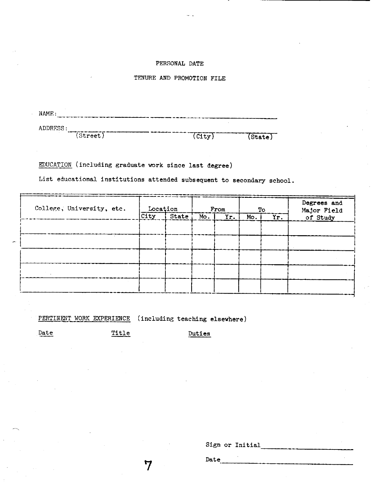## PERSONAL DATE

## TENURE AND PROMOTION FILE

| NAME:          |          |      |        |
|----------------|----------|------|--------|
| ADDRESS:<br>-- |          |      |        |
| . .            | [Street] | City | State) |

EDUCATION (including graduate work since last degree)

List educational institutions attended subsequent to secondary school.

| College, University, etc. | Location |       | From |     | To  |     | Degrees and<br>Major Field |
|---------------------------|----------|-------|------|-----|-----|-----|----------------------------|
|                           | $ $ City | State | Mo.  | Yr. | Mo. | Yr. | of Study                   |
|                           |          |       |      |     |     |     |                            |
|                           |          |       |      |     |     |     |                            |
|                           |          |       |      |     |     |     |                            |
|                           |          |       |      |     |     |     |                            |
|                           |          |       |      |     |     |     |                            |
|                           |          |       |      |     |     |     |                            |

PERTINENT WORK EXPERIENCE (including teaching elsewhere)

7

Date Title Duties

Sign or Initial<br>Date

Date.  $\frac{1}{2}$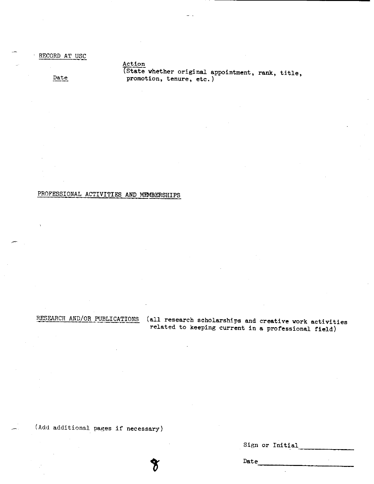RECORD AT USC

Date

(State whether original appointment, rank, title, promotion, tenure, etc.)

## PROFESSIONAL ACTIVITIES AND MEMBERSHIPS

Action

RESEARCH AND/OR PUBLICATIONS (all research scholarships and **creative** work activities related to keeping current in a professional field)

(Add additional pages if necessary)

Sign or Initial

-------------

Date